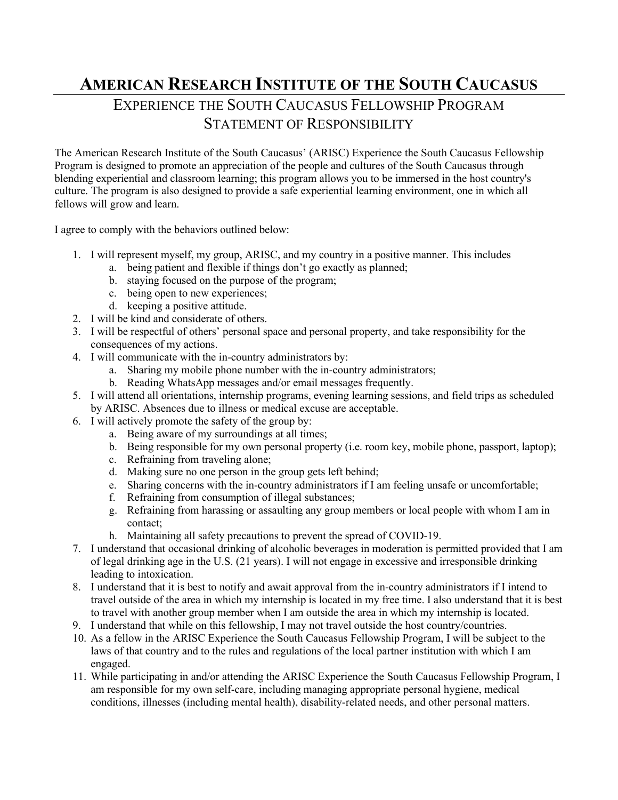## **AMERICAN RESEARCH INSTITUTE OF THE SOUTH CAUCASUS**

## EXPERIENCE THE SOUTH CAUCASUS FELLOWSHIP PROGRAM STATEMENT OF RESPONSIBILITY

The American Research Institute of the South Caucasus' (ARISC) Experience the South Caucasus Fellowship Program is designed to promote an appreciation of the people and cultures of the South Caucasus through blending experiential and classroom learning; this program allows you to be immersed in the host country's culture. The program is also designed to provide a safe experiential learning environment, one in which all fellows will grow and learn.

I agree to comply with the behaviors outlined below:

- 1. I will represent myself, my group, ARISC, and my country in a positive manner. This includes
	- a. being patient and flexible if things don't go exactly as planned;
	- b. staying focused on the purpose of the program;
	- c. being open to new experiences;
	- d. keeping a positive attitude.
- 2. I will be kind and considerate of others.
- 3. I will be respectful of others' personal space and personal property, and take responsibility for the consequences of my actions.
- 4. I will communicate with the in-country administrators by:
	- a. Sharing my mobile phone number with the in-country administrators;
	- b. Reading WhatsApp messages and/or email messages frequently.
- 5. I will attend all orientations, internship programs, evening learning sessions, and field trips as scheduled by ARISC. Absences due to illness or medical excuse are acceptable.
- 6. I will actively promote the safety of the group by:
	- a. Being aware of my surroundings at all times;
	- b. Being responsible for my own personal property (i.e. room key, mobile phone, passport, laptop);
	- c. Refraining from traveling alone;
	- d. Making sure no one person in the group gets left behind;
	- e. Sharing concerns with the in-country administrators if I am feeling unsafe or uncomfortable;
	- f. Refraining from consumption of illegal substances;
	- g. Refraining from harassing or assaulting any group members or local people with whom I am in contact;
	- h. Maintaining all safety precautions to prevent the spread of COVID-19.
- 7. I understand that occasional drinking of alcoholic beverages in moderation is permitted provided that I am of legal drinking age in the U.S. (21 years). I will not engage in excessive and irresponsible drinking leading to intoxication.
- 8. I understand that it is best to notify and await approval from the in-country administrators if I intend to travel outside of the area in which my internship is located in my free time. I also understand that it is best to travel with another group member when I am outside the area in which my internship is located.
- 9. I understand that while on this fellowship, I may not travel outside the host country/countries.
- 10. As a fellow in the ARISC Experience the South Caucasus Fellowship Program, I will be subject to the laws of that country and to the rules and regulations of the local partner institution with which I am engaged.
- 11. While participating in and/or attending the ARISC Experience the South Caucasus Fellowship Program, I am responsible for my own self-care, including managing appropriate personal hygiene, medical conditions, illnesses (including mental health), disability-related needs, and other personal matters.